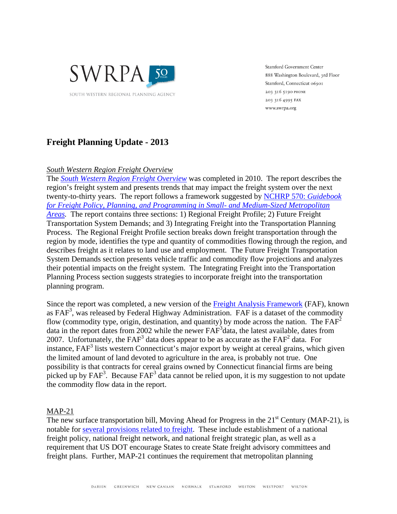

**Stamford Government Center** 888 Washington Boulevard, 3rd Floor Stamford, Connecticut 06901 203 316 5190 PHONE 203 316 4995 FAX www.swrpa.org

# **Freight Planning Update - 2013**

## *South Western Region Freight Overview*

The *South Western Region Freight Overview* was completed in 2010. The report describes the region's freight system and presents trends that may impact the freight system over the next twenty-to-thirty years. The report follows a framework suggested by NCHRP 570: *Guidebook for Freight Policy, Planning, and Programming in Small- and Medium-Sized Metropolitan Areas.* The report contains three sections: 1) Regional Freight Profile; 2) Future Freight Transportation System Demands; and 3) Integrating Freight into the Transportation Planning Process. The Regional Freight Profile section breaks down freight transportation through the region by mode, identifies the type and quantity of commodities flowing through the region, and describes freight as it relates to land use and employment. The Future Freight Transportation System Demands section presents vehicle traffic and commodity flow projections and analyzes their potential impacts on the freight system. The Integrating Freight into the Transportation Planning Process section suggests strategies to incorporate freight into the transportation planning program.

Since the report was completed, a new version of the Freight Analysis Framework (FAF), known as FAF<sup>3</sup>, was released by Federal Highway Administration. FAF is a dataset of the commodity flow (commodity type, origin, destination, and quantity) by mode across the nation. The  $FAF<sup>2</sup>$ data in the report dates from 2002 while the newer FAF<sup>3</sup> data, the latest available, dates from 2007. Unfortunately, the  $FAF<sup>3</sup>$  data does appear to be as accurate as the  $FAF<sup>2</sup>$  data. For instance, FAF<sup>3</sup> lists western Connecticut's major export by weight at cereal grains, which given the limited amount of land devoted to agriculture in the area, is probably not true. One possibility is that contracts for cereal grains owned by Connecticut financial firms are being picked up by  $FAF<sup>3</sup>$ . Because  $FAF<sup>3</sup>$  data cannot be relied upon, it is my suggestion to not update the commodity flow data in the report.

### MAP-21

The new surface transportation bill, Moving Ahead for Progress in the  $21<sup>st</sup>$  Century (MAP-21), is notable for several provisions related to freight. These include establishment of a national freight policy, national freight network, and national freight strategic plan, as well as a requirement that US DOT encourage States to create State freight advisory committees and freight plans. Further, MAP-21 continues the requirement that metropolitan planning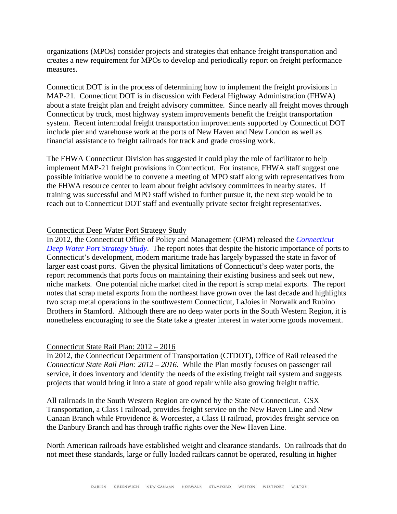organizations (MPOs) consider projects and strategies that enhance freight transportation and creates a new requirement for MPOs to develop and periodically report on freight performance measures.

Connecticut DOT is in the process of determining how to implement the freight provisions in MAP-21. Connecticut DOT is in discussion with Federal Highway Administration (FHWA) about a state freight plan and freight advisory committee. Since nearly all freight moves through Connecticut by truck, most highway system improvements benefit the freight transportation system. Recent intermodal freight transportation improvements supported by Connecticut DOT include pier and warehouse work at the ports of New Haven and New London as well as financial assistance to freight railroads for track and grade crossing work.

The FHWA Connecticut Division has suggested it could play the role of facilitator to help implement MAP-21 freight provisions in Connecticut. For instance, FHWA staff suggest one possible initiative would be to convene a meeting of MPO staff along with representatives from the FHWA resource center to learn about freight advisory committees in nearby states. If training was successful and MPO staff wished to further pursue it, the next step would be to reach out to Connecticut DOT staff and eventually private sector freight representatives.

#### Connecticut Deep Water Port Strategy Study

In 2012, the Connecticut Office of Policy and Management (OPM) released the *Connecticut Deep Water Port Strategy Study*. The report notes that despite the historic importance of ports to Connecticut's development, modern maritime trade has largely bypassed the state in favor of larger east coast ports. Given the physical limitations of Connecticut's deep water ports, the report recommends that ports focus on maintaining their existing business and seek out new, niche markets. One potential niche market cited in the report is scrap metal exports. The report notes that scrap metal exports from the northeast have grown over the last decade and highlights two scrap metal operations in the southwestern Connecticut, LaJoies in Norwalk and Rubino Brothers in Stamford. Although there are no deep water ports in the South Western Region, it is nonetheless encouraging to see the State take a greater interest in waterborne goods movement.

#### Connecticut State Rail Plan: 2012 – 2016

In 2012, the Connecticut Department of Transportation (CTDOT), Office of Rail released the *Connecticut State Rail Plan: 2012 – 2016.* While the Plan mostly focuses on passenger rail service, it does inventory and identify the needs of the existing freight rail system and suggests projects that would bring it into a state of good repair while also growing freight traffic.

All railroads in the South Western Region are owned by the State of Connecticut. CSX Transportation, a Class I railroad, provides freight service on the New Haven Line and New Canaan Branch while Providence & Worcester, a Class II railroad, provides freight service on the Danbury Branch and has through traffic rights over the New Haven Line.

North American railroads have established weight and clearance standards. On railroads that do not meet these standards, large or fully loaded railcars cannot be operated, resulting in higher